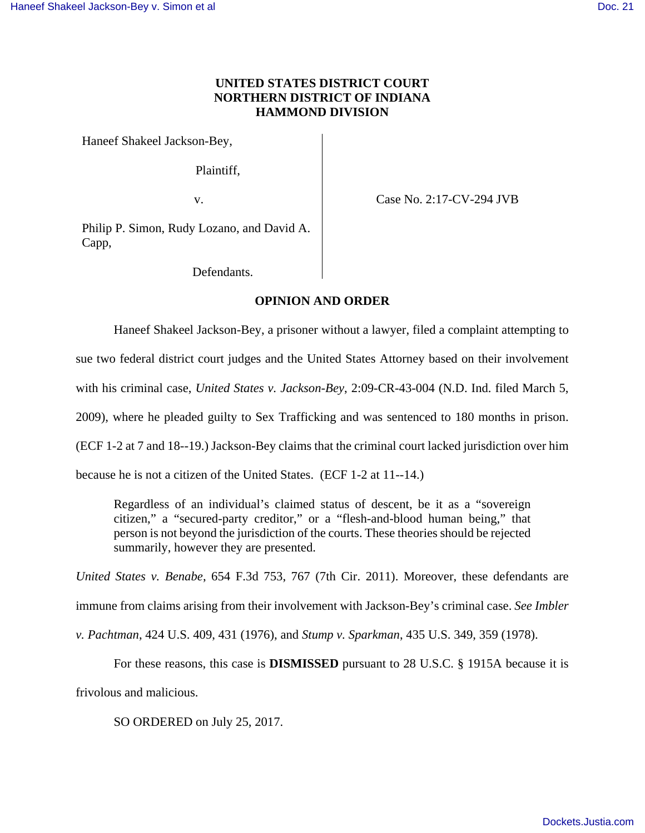## **UNITED STATES DISTRICT COURT NORTHERN DISTRICT OF INDIANA HAMMOND DIVISION**

Haneef Shakeel Jackson-Bey,

Plaintiff,

v. Case No. 2:17-CV-294 JVB

Philip P. Simon, Rudy Lozano, and David A. Capp,

Defendants.

## **OPINION AND ORDER**

Haneef Shakeel Jackson-Bey, a prisoner without a lawyer, filed a complaint attempting to

sue two federal district court judges and the United States Attorney based on their involvement

with his criminal case, *United States v. Jackson-Bey*, 2:09-CR-43-004 (N.D. Ind. filed March 5,

2009), where he pleaded guilty to Sex Trafficking and was sentenced to 180 months in prison.

(ECF 1-2 at 7 and 18--19.) Jackson-Bey claims that the criminal court lacked jurisdiction over him

because he is not a citizen of the United States. (ECF 1-2 at 11--14.)

Regardless of an individual's claimed status of descent, be it as a "sovereign citizen," a "secured-party creditor," or a "flesh-and-blood human being," that person is not beyond the jurisdiction of the courts. These theories should be rejected summarily, however they are presented.

*United States v. Benabe*, 654 F.3d 753, 767 (7th Cir. 2011). Moreover, these defendants are

immune from claims arising from their involvement with Jackson-Bey's criminal case. *See Imbler* 

*v. Pachtman*, 424 U.S. 409, 431 (1976), and *Stump v. Sparkman*, 435 U.S. 349, 359 (1978).

 For these reasons, this case is **DISMISSED** pursuant to 28 U.S.C. § 1915A because it is frivolous and malicious.

SO ORDERED on July 25, 2017.